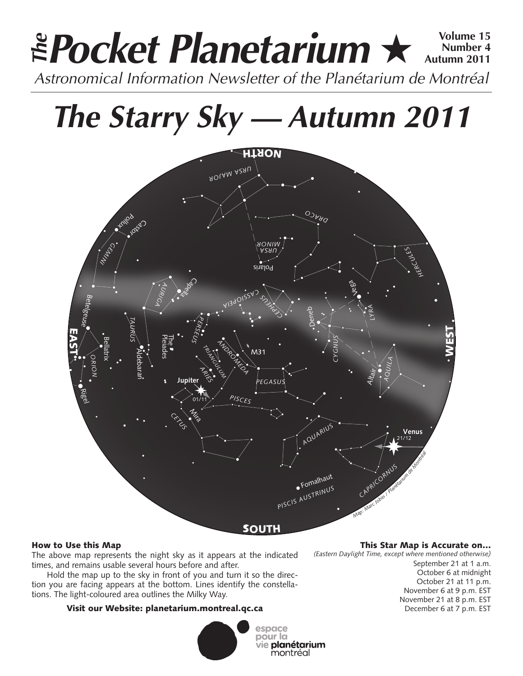## **Pocket Planetarium ★**  $\frac{Volume 15}{Number 4}$ **Number 4 Autumn 2011** EPocket Planetarium  $\star$ <sup>Volume 15</sup><br>Astronomical Information Newsletter of the Planétarium de Montréal

# **The Starry Sky — Autumn 2011**



### How to Use this Map

The above map represents the night sky as it appears at the indicated times, and remains usable several hours before and after.

Hold the map up to the sky in front of you and turn it so the direction you are facing appears at the bottom. Lines identify the constellations. The light-coloured area outlines the Milky Way.

### Visit our Website: planetarium.montreal.qc.ca



#### This Star Map is Accurate on…

*(Eastern Daylight Time, except where mentioned otherwise)*

September 21 at 1 a.m. October 6 at midnight October 21 at 11 p.m. November 6 at 9 p.m. EST November 21 at 8 p.m. EST December 6 at 7 p.m. EST